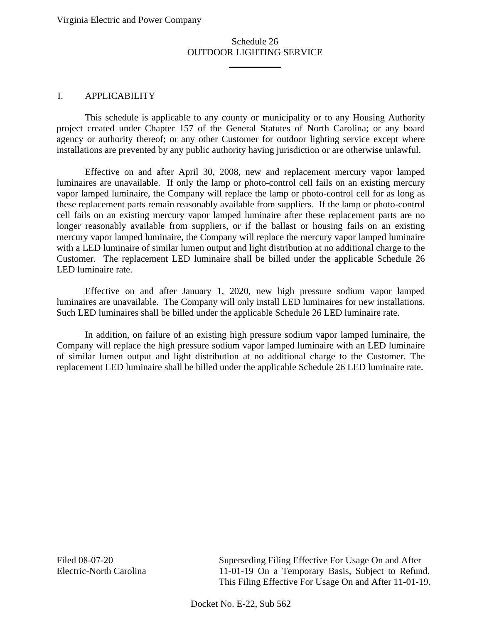\_\_\_\_\_\_\_\_\_\_\_

### I. APPLICABILITY

This schedule is applicable to any county or municipality or to any Housing Authority project created under Chapter 157 of the General Statutes of North Carolina; or any board agency or authority thereof; or any other Customer for outdoor lighting service except where installations are prevented by any public authority having jurisdiction or are otherwise unlawful.

Effective on and after April 30, 2008, new and replacement mercury vapor lamped luminaires are unavailable. If only the lamp or photo-control cell fails on an existing mercury vapor lamped luminaire, the Company will replace the lamp or photo-control cell for as long as these replacement parts remain reasonably available from suppliers. If the lamp or photo-control cell fails on an existing mercury vapor lamped luminaire after these replacement parts are no longer reasonably available from suppliers, or if the ballast or housing fails on an existing mercury vapor lamped luminaire, the Company will replace the mercury vapor lamped luminaire with a LED luminaire of similar lumen output and light distribution at no additional charge to the Customer. The replacement LED luminaire shall be billed under the applicable Schedule 26 LED luminaire rate.

Effective on and after January 1, 2020, new high pressure sodium vapor lamped luminaires are unavailable. The Company will only install LED luminaires for new installations. Such LED luminaires shall be billed under the applicable Schedule 26 LED luminaire rate.

In addition, on failure of an existing high pressure sodium vapor lamped luminaire, the Company will replace the high pressure sodium vapor lamped luminaire with an LED luminaire of similar lumen output and light distribution at no additional charge to the Customer. The replacement LED luminaire shall be billed under the applicable Schedule 26 LED luminaire rate.

Filed 08-07-20 Electric-North Carolina Superseding Filing Effective For Usage On and After 11-01-19 On a Temporary Basis, Subject to Refund. This Filing Effective For Usage On and After 11-01-19.

Docket No. E-22, Sub 562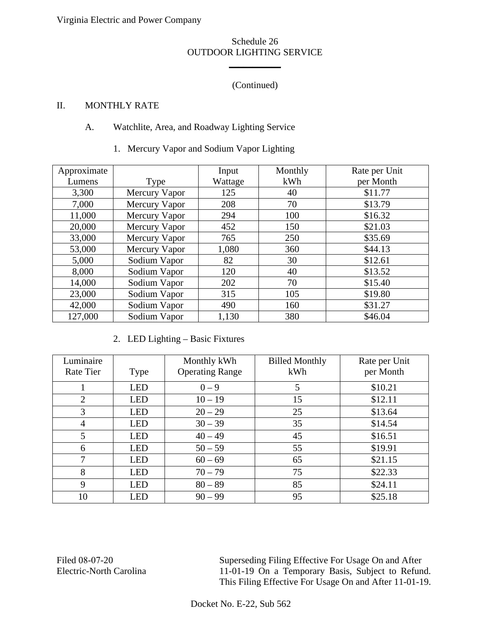\_\_\_\_\_\_\_\_\_\_\_

# (Continued)

## II. MONTHLY RATE

## A. Watchlite, Area, and Roadway Lighting Service

1. Mercury Vapor and Sodium Vapor Lighting

| Approximate |               | Input   | Monthly | Rate per Unit |
|-------------|---------------|---------|---------|---------------|
| Lumens      | Type          | Wattage | kWh     | per Month     |
| 3,300       | Mercury Vapor | 125     | 40      | \$11.77       |
| 7,000       | Mercury Vapor | 208     | 70      | \$13.79       |
| 11,000      | Mercury Vapor | 294     | 100     | \$16.32       |
| 20,000      | Mercury Vapor | 452     | 150     | \$21.03       |
| 33,000      | Mercury Vapor | 765     | 250     | \$35.69       |
| 53,000      | Mercury Vapor | 1,080   | 360     | \$44.13       |
| 5,000       | Sodium Vapor  | 82      | 30      | \$12.61       |
| 8,000       | Sodium Vapor  | 120     | 40      | \$13.52       |
| 14,000      | Sodium Vapor  | 202     | 70      | \$15.40       |
| 23,000      | Sodium Vapor  | 315     | 105     | \$19.80       |
| 42,000      | Sodium Vapor  | 490     | 160     | \$31.27       |
| 127,000     | Sodium Vapor  | 1,130   | 380     | \$46.04       |

2. LED Lighting – Basic Fixtures

| Luminaire<br>Rate Tier | Type       | Monthly kWh<br><b>Operating Range</b> | <b>Billed Monthly</b><br>kWh | Rate per Unit<br>per Month |
|------------------------|------------|---------------------------------------|------------------------------|----------------------------|
|                        | <b>LED</b> | $0 - 9$                               | 5                            | \$10.21                    |
| 2                      | <b>LED</b> | $10 - 19$                             | 15                           | \$12.11                    |
| 3                      | <b>LED</b> | $20 - 29$                             | 25                           | \$13.64                    |
| 4                      | <b>LED</b> | $30 - 39$                             | 35                           | \$14.54                    |
| 5                      | <b>LED</b> | $40 - 49$                             | 45                           | \$16.51                    |
| 6                      | <b>LED</b> | $50 - 59$                             | 55                           | \$19.91                    |
| $\tau$                 | <b>LED</b> | $60 - 69$                             | 65                           | \$21.15                    |
| 8                      | <b>LED</b> | $70 - 79$                             | 75                           | \$22.33                    |
| 9                      | <b>LED</b> | $80 - 89$                             | 85                           | \$24.11                    |
| 10                     | <b>LED</b> | $90 - 99$                             | 95                           | \$25.18                    |

Filed 08-07-20 Electric-North Carolina Superseding Filing Effective For Usage On and After 11-01-19 On a Temporary Basis, Subject to Refund. This Filing Effective For Usage On and After 11-01-19.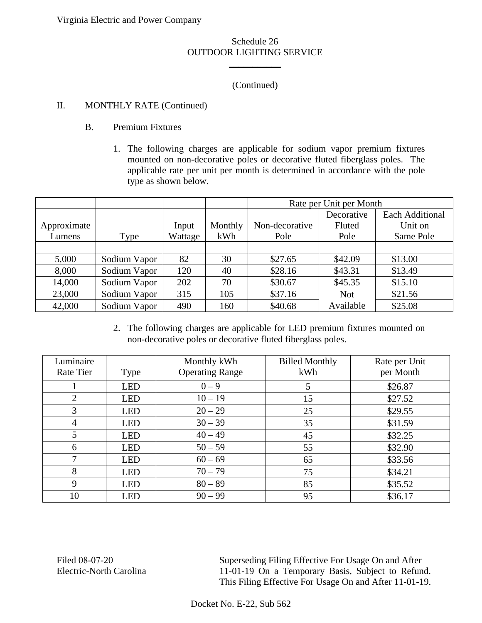Virginia Electric and Power Company

#### Schedule 26 OUTDOOR LIGHTING SERVICE

\_\_\_\_\_\_\_\_\_\_\_

## (Continued)

## II. MONTHLY RATE (Continued)

- B. Premium Fixtures
	- 1. The following charges are applicable for sodium vapor premium fixtures mounted on non-decorative poles or decorative fluted fiberglass poles. The applicable rate per unit per month is determined in accordance with the pole type as shown below.

|             |              |         |         | Rate per Unit per Month |            |                        |
|-------------|--------------|---------|---------|-------------------------|------------|------------------------|
|             |              |         |         |                         | Decorative | <b>Each Additional</b> |
| Approximate |              | Input   | Monthly | Non-decorative          | Fluted     | Unit on                |
| Lumens      | Type         | Wattage | kWh     | Pole                    | Pole       | Same Pole              |
|             |              |         |         |                         |            |                        |
| 5,000       | Sodium Vapor | 82      | 30      | \$27.65                 | \$42.09    | \$13.00                |
| 8,000       | Sodium Vapor | 120     | 40      | \$28.16                 | \$43.31    | \$13.49                |
| 14,000      | Sodium Vapor | 202     | 70      | \$30.67                 | \$45.35    | \$15.10                |
| 23,000      | Sodium Vapor | 315     | 105     | \$37.16                 | <b>Not</b> | \$21.56                |
| 42,000      | Sodium Vapor | 490     | 160     | \$40.68                 | Available  | \$25.08                |

2. The following charges are applicable for LED premium fixtures mounted on non-decorative poles or decorative fluted fiberglass poles.

| Luminaire<br><b>Rate Tier</b> |            | Monthly kWh<br><b>Operating Range</b> | <b>Billed Monthly</b><br>kWh | Rate per Unit<br>per Month |
|-------------------------------|------------|---------------------------------------|------------------------------|----------------------------|
|                               | Type       |                                       |                              |                            |
|                               | <b>LED</b> | $0 - 9$                               | 5                            | \$26.87                    |
| 2                             | <b>LED</b> | $10 - 19$                             | 15                           | \$27.52                    |
| 3                             | <b>LED</b> | $20 - 29$                             | 25                           | \$29.55                    |
| 4                             | <b>LED</b> | $30 - 39$                             | 35                           | \$31.59                    |
| 5                             | <b>LED</b> | $40 - 49$                             | 45                           | \$32.25                    |
| 6                             | <b>LED</b> | $50 - 59$                             | 55                           | \$32.90                    |
| 7                             | <b>LED</b> | $60 - 69$                             | 65                           | \$33.56                    |
| 8                             | <b>LED</b> | $70 - 79$                             | 75                           | \$34.21                    |
| 9                             | <b>LED</b> | $80 - 89$                             | 85                           | \$35.52                    |
| 10                            | <b>LED</b> | $90 - 99$                             | 95                           | \$36.17                    |

Filed 08-07-20 Electric-North Carolina

Superseding Filing Effective For Usage On and After 11-01-19 On a Temporary Basis, Subject to Refund. This Filing Effective For Usage On and After 11-01-19.

Docket No. E-22, Sub 562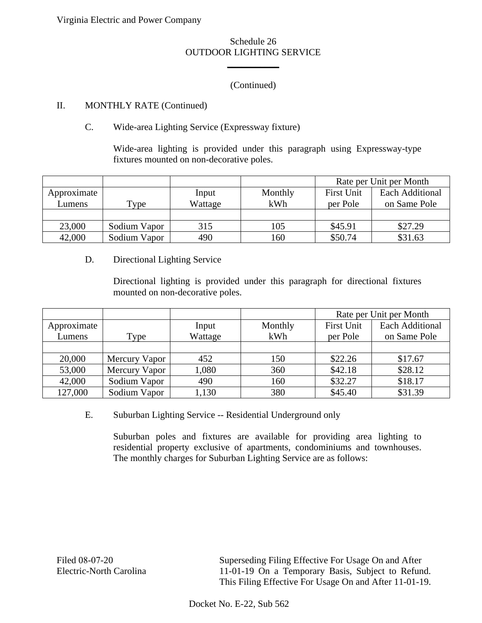Virginia Electric and Power Company

#### Schedule 26 OUTDOOR LIGHTING SERVICE

\_\_\_\_\_\_\_\_\_\_\_

## (Continued)

### II. MONTHLY RATE (Continued)

## C. Wide-area Lighting Service (Expressway fixture)

Wide-area lighting is provided under this paragraph using Expressway-type fixtures mounted on non-decorative poles.

|             |              |         |         | Rate per Unit per Month |                        |
|-------------|--------------|---------|---------|-------------------------|------------------------|
| Approximate |              | Input   | Monthly | <b>First Unit</b>       | <b>Each Additional</b> |
| Lumens      | Type         | Wattage | kWh     | per Pole                | on Same Pole           |
|             |              |         |         |                         |                        |
| 23,000      | Sodium Vapor | 315     | 105     | \$45.91                 | \$27.29                |
| 42,000      | Sodium Vapor | 490     | 160     | \$50.74                 | \$31.63                |

#### D. Directional Lighting Service

Directional lighting is provided under this paragraph for directional fixtures mounted on non-decorative poles.

|             |               |         |         | Rate per Unit per Month |                        |
|-------------|---------------|---------|---------|-------------------------|------------------------|
| Approximate |               | Input   | Monthly | <b>First Unit</b>       | <b>Each Additional</b> |
| Lumens      | Type          | Wattage | kWh     | per Pole                | on Same Pole           |
|             |               |         |         |                         |                        |
| 20,000      | Mercury Vapor | 452     | 150     | \$22.26                 | \$17.67                |
| 53,000      | Mercury Vapor | 1,080   | 360     | \$42.18                 | \$28.12                |
| 42,000      | Sodium Vapor  | 490     | 160     | \$32.27                 | \$18.17                |
| 127,000     | Sodium Vapor  | 1,130   | 380     | \$45.40                 | \$31.39                |

E. Suburban Lighting Service -- Residential Underground only

Suburban poles and fixtures are available for providing area lighting to residential property exclusive of apartments, condominiums and townhouses. The monthly charges for Suburban Lighting Service are as follows:

Superseding Filing Effective For Usage On and After 11-01-19 On a Temporary Basis, Subject to Refund. This Filing Effective For Usage On and After 11-01-19.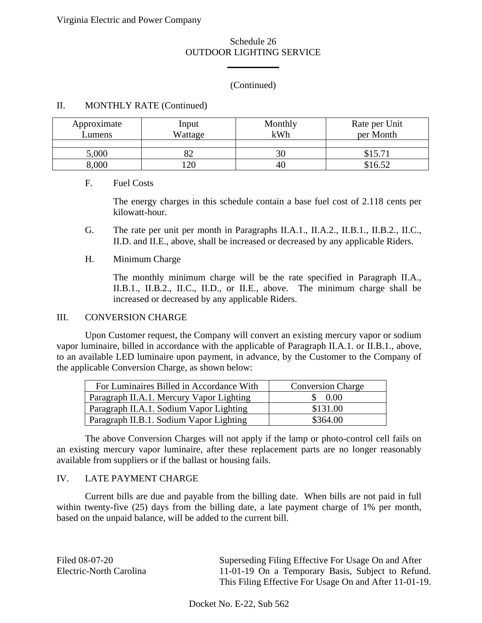\_\_\_\_\_\_\_\_\_\_\_

## (Continued)

#### II. MONTHLY RATE (Continued)

| Approximate<br>Lumens | Input<br>Wattage | Monthly<br>kWh | Rate per Unit<br>per Month |
|-----------------------|------------------|----------------|----------------------------|
|                       |                  |                |                            |
| 5,000                 |                  | 30             | \$15.71                    |
| 8,000                 | $\overline{20}$  | 40             | \$16.52                    |

#### F. Fuel Costs

The energy charges in this schedule contain a base fuel cost of 2.118 cents per kilowatt-hour.

- G. The rate per unit per month in Paragraphs II.A.1., II.A.2., II.B.1., II.B.2., II.C., II.D. and II.E., above, shall be increased or decreased by any applicable Riders.
- H. Minimum Charge

The monthly minimum charge will be the rate specified in Paragraph II.A., II.B.1., II.B.2., II.C., II.D., or II.E., above. The minimum charge shall be increased or decreased by any applicable Riders.

#### III. CONVERSION CHARGE

Upon Customer request, the Company will convert an existing mercury vapor or sodium vapor luminaire, billed in accordance with the applicable of Paragraph II.A.1. or II.B.1., above, to an available LED luminaire upon payment, in advance, by the Customer to the Company of the applicable Conversion Charge, as shown below:

| For Luminaires Billed in Accordance With | <b>Conversion Charge</b> |
|------------------------------------------|--------------------------|
| Paragraph II.A.1. Mercury Vapor Lighting | \$ 0.00                  |
| Paragraph II.A.1. Sodium Vapor Lighting  | \$131.00                 |
| Paragraph II.B.1. Sodium Vapor Lighting  | \$364.00                 |

The above Conversion Charges will not apply if the lamp or photo-control cell fails on an existing mercury vapor luminaire, after these replacement parts are no longer reasonably available from suppliers or if the ballast or housing fails.

#### IV. LATE PAYMENT CHARGE

Current bills are due and payable from the billing date. When bills are not paid in full within twenty-five (25) days from the billing date, a late payment charge of 1% per month, based on the unpaid balance, will be added to the current bill.

| Filed 08-07-20          | Superseding Filing Effective For Usage On and After    |
|-------------------------|--------------------------------------------------------|
| Electric-North Carolina | 11-01-19 On a Temporary Basis, Subject to Refund.      |
|                         | This Filing Effective For Usage On and After 11-01-19. |